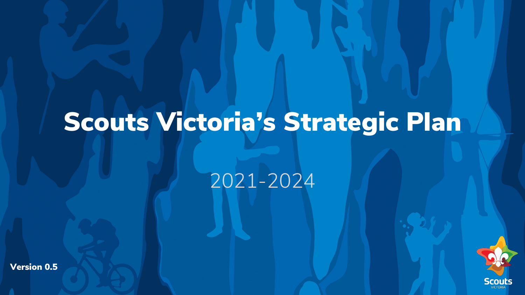# Scouts Victoria's Strategic Plan

2021-2024

Version 0.5

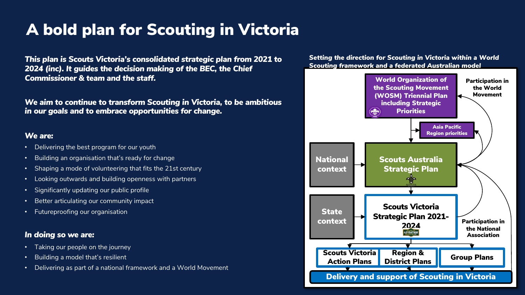### A bold plan for Scouting in Victoria

*This plan is Scouts Victoria's consolidated strategic plan from 2021 to 2024 (inc). It guides the decision making of the BEC, the Chief Commissioner & team and the staff.*

*We aim to continue to transform Scouting in Victoria, to be ambitious in our goals and to embrace opportunities for change.* 

### *We are:*

- Delivering the best program for our youth
- Building an organisation that's ready for change
- Shaping a mode of volunteering that fits the 21st century
- Looking outwards and building openness with partners
- Significantly updating our public profile
- Better articulating our community impact
- Futureproofing our organisation

### *In doing so we are:*

- Taking our people on the journey
- Building a model that's resilient
- Delivering as part of a national framework and a World Movement

### *Setting the direction for Scouting in Victoria within a World Scouting framework and a federated Australian model*

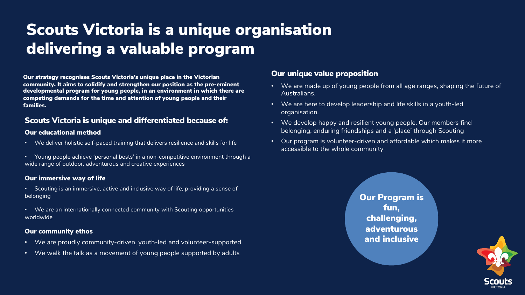### Scouts Victoria is a unique organisation delivering a valuable program

Our strategy recognises Scouts Victoria's unique place in the Victorian community. It aims to solidify and strengthen our position as the pre-eminent developmental program for young people, in an environment in which there are competing demands for the time and attention of young people and their families.

### Scouts Victoria is unique and differentiated because of:

### Our educational method

- We deliver holistic self-paced training that delivers resilience and skills for life
- Young people achieve 'personal bests' in a non-competitive environment through a wide range of outdoor, adventurous and creative experiences

### Our immersive way of life

- Scouting is an immersive, active and inclusive way of life, providing a sense of belonging
- We are an internationally connected community with Scouting opportunities worldwide

### Our community ethos

- We are proudly community-driven, youth-led and volunteer-supported
- We walk the talk as a movement of young people supported by adults

### Our unique value proposition

- We are made up of young people from all age ranges, shaping the future of Australians.
- We are here to develop leadership and life skills in a youth-led organisation.
- We develop happy and resilient young people. Our members find belonging, enduring friendships and a 'place' through Scouting
- Our program is volunteer-driven and affordable which makes it more accessible to the whole community

Our Program is fun, challenging, adventurous and inclusive

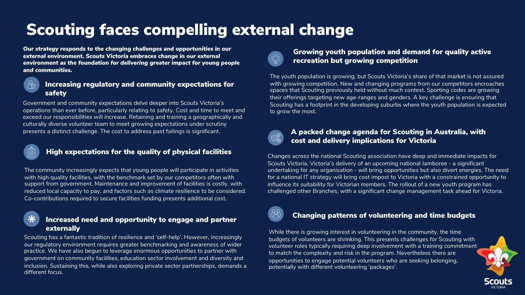### Scouting faces compelling external change

*Our strategy responds to the changing challenges and opportunities in our external environment. Scouts Victoria embraces change in our external environment as the foundation for delivering greater impact for young people and communities.* 



### Increasing regulatory and community expectations for safety

Government and community expectations delve deeper into Scouts Victoria's operations than ever before, particularly relating to safety. Cost and time to meet and exceed our responsibilities will increase. Retaining and training a geographically and culturally diverse volunteer team to meet growing expectations under scrutiny presents a distinct challenge. The cost to address past failings is significant.



### High expectations for the quality of physical facilities

The community increasingly expects that young people will participate in activities with high quality facilities, with the benchmark set by our competitors often with support from government. Maintenance and improvement of facilities is costly, with reduced local capacity to pay, and factors such as climate resilience to be considered. Co-contributions required to secure facilities funding presents additional cost.



### Increased need and opportunity to engage and partner externally

Scouting has a fantastic tradition of resilience and 'self-help'. However, increasingly our regulatory environment requires greater benchmarking and awareness of wider practice. We have also begun to leverage enormous opportunities to partner with government on community facilities, education sector involvement and diversity and inclusion. Sustaining this, while also exploring private sector partnerships, demands a different focus.



### Growing youth population and demand for quality active recreation but growing competition

The youth population is growing, but Scouts Victoria's share of that market is not assured with growing competition. New and changing programs from our competitors encroaches spaces that Scouting previously held without much contest. Sporting codes are growing their offerings targeting new age-ranges and genders. A key challenge is ensuring that Scouting has a footprint in the developing suburbs where the youth population is expected to grow the most.



### A packed change agenda for Scouting in Australia, with cost and delivery implications for Victoria

Changes across the national Scouting association have deep and immediate impacts for Scouts Victoria. Victoria's delivery of an upcoming national Jamboree - a significant undertaking for any organisation - will bring opportunities but also divert energies. The need for a national IT strategy will bring cost impost to Victoria with a constrained opportunity to influence its suitability for Victorian members. The rollout of a new youth program has challenged other Branches, with a significant change management task ahead for Victoria.



### Changing patterns of volunteering and time budgets

While there is growing interest in volunteering in the community, the time budgets of volunteers are shrinking. This presents challenges for Scouting with volunteer roles typically requiring deep involvement with a training commitment to match the complexity and risk in the program. Nevertheless there are opportunities to engage potential volunteers who are seeking belonging, potentially with different volunteering 'packages'.

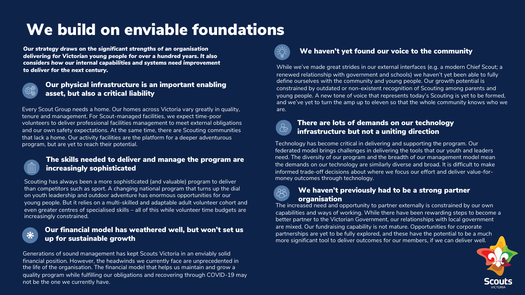### We build on enviable foundations

*Our strategy draws on the significant strengths of an organisation delivering for Victorian young people for over a hundred years. It also considers how our internal capabilities and systems need improvement to deliver for the next century.*



### Our physical infrastructure is an important enabling asset, but also a critical liability

Every Scout Group needs a home. Our homes across Victoria vary greatly in quality, tenure and management. For Scout-managed facilities, we expect time-poor volunteers to deliver professional facilities management to meet external obligations and our own safety expectations. At the same time, there are Scouting communities that lack a home. Our activity facilities are the platform for a deeper adventurous program, but are yet to reach their potential.



茶

### The skills needed to deliver and manage the program are increasingly sophisticated

Scouting has always been a more sophisticated (and valuable) program to deliver than competitors such as sport. A changing national program that turns up the dial on youth leadership and outdoor adventure has enormous opportunities for our young people. But it relies on a multi-skilled and adaptable adult volunteer cohort and even greater centres of specialised skills – all of this while volunteer time budgets are increasingly constrained.

### Our financial model has weathered well, but won't set us up for sustainable growth

Generations of sound management has kept Scouts Victoria in an enviably solid financial position. However, the headwinds we currently face are unprecedented in the life of the organisation. The financial model that helps us maintain and grow a quality program while fulfilling our obligations and recovering through COVID-19 may not be the one we currently have.



### We haven't yet found our voice to the community

While we've made great strides in our external interfaces (e.g. a modern Chief Scout; a renewed relationship with government and schools) we haven't yet been able to fully define ourselves with the community and young people. Our growth potential is constrained by outdated or non-existent recognition of Scouting among parents and young people. A new tone of voice that represents today's Scouting is yet to be formed, and we've yet to turn the amp up to eleven so that the whole community knows who we are.



### There are lots of demands on our technology infrastructure but not a uniting direction

Technology has become critical in delivering and supporting the program. Our federated model brings challenges in delivering the tools that our youth and leaders need. The diversity of our program and the breadth of our management model mean the demands on our technology are similarly diverse and broad. It is difficult to make informed trade-off decisions about where we focus our effort and deliver value-formoney outcomes through technology.



### We haven't previously had to be a strong partner organisation

The increased need and opportunity to partner externally is constrained by our own capabilities and ways of working. While there have been rewarding steps to become a better partner to the Victorian Government, our relationships with local government are mixed. Our fundraising capability is not mature. Opportunities for corporate partnerships are yet to be fully explored, and these have the potential to be a much more significant tool to deliver outcomes for our members, if we can deliver well.

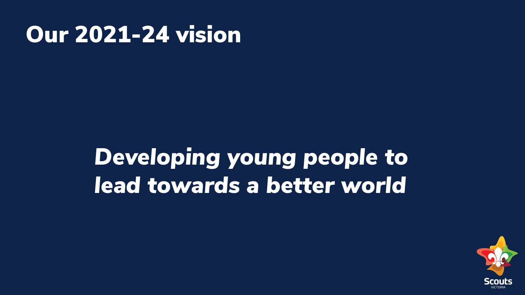## Our 2021-24 vision

# *Developing young people to lead towards a better world*

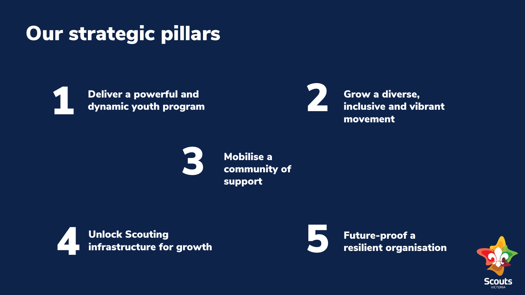## Our strategic pillars



external powerful and<br>dynamic youth program<br>dynamic youth program dynamic youth program

Grow a diverse, inclusive and vibrant movement



Mobilise a community of support



Future-proof a resilient organisation

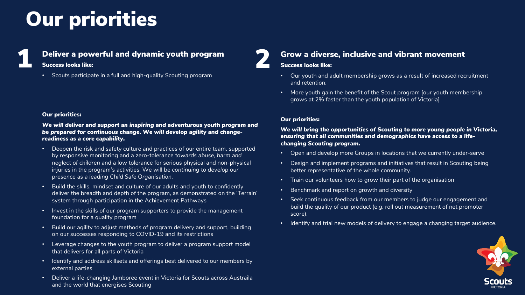## Our priorities

### 1 Deliver a powerful and dynamic youth program

### Success looks like:

• Scouts participate in a full and high-quality Scouting program

#### Our priorities:

*We will deliver and support an inspiring and adventurous youth program and be prepared for continuous change. We will develop agility and changereadiness as a core capability.*

- Deepen the risk and safety culture and practices of our entire team, supported by responsive monitoring and a zero-tolerance *towards abuse, harm and neglect of children* and a low tolerance for serious physical and non-physical injuries in the program's activities. We will be *continuing to develop our presence as a leading Child Safe Organisation.*
- Build the skills, mindset and culture of our adults and youth to confidently deliver the breadth and depth of the program, as demonstrated on the 'Terrain' system through participation in the Achievement Pathways
- Invest in the skills of our program supporters to provide the management foundation for a quality program
- Build our agility to adjust methods of program delivery and support, building on our successes responding to COVID-19 and its restrictions
- Leverage changes to the youth program to deliver a program support model that delivers for all parts of Victoria
- Identify and address skillsets and offerings best delivered to our members by external parties
- Deliver a life-changing Jamboree event in Victoria for Scouts across Austraila and the world that energises Scouting

### Grow a diverse, inclusive and vibrant movement

### Success looks like:

- Our youth and adult membership grows as a result of increased recruitment and retention.
- More youth gain the benefit of the Scout program [our youth membership grows at 2% faster than the youth population of Victoria]

### Our priorities:

*We will bring the opportunities of Scouting to more young people in Victoria, ensuring that all communities and demographics have access to a lifechanging Scouting program.* 

- Open and develop more Groups in locations that we currently under-serve
- Design and implement programs and initiatives that result in Scouting being better representative of the whole community.
- Train our volunteers how to grow their part of the organisation
- Benchmark and report on growth and diversity
- Seek continuous feedback from our members to judge our engagement and build the quality of our product (e.g. roll out measurement of net promoter score).
- Identify and trial new models of delivery to engage a changing target audience.

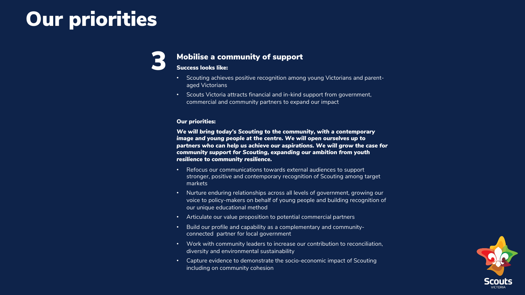## Our priorities

### Mobilise a community of support

#### Success looks like:

- Scouting achieves positive recognition among young Victorians and parentaged Victorians
- Scouts Victoria attracts financial and in-kind support from government, commercial and community partners to expand our impact

#### Our priorities:

*We will bring today's Scouting to the community, with a contemporary image and young people at the centre. We will open ourselves up to partners who can help us achieve our aspirations. We will grow the case for community support for Scouting, expanding our ambition from youth resilience to community resilience.*

- Refocus our communications towards external audiences to support stronger, positive and contemporary recognition of Scouting among target markets
- Nurture enduring relationships across all levels of government, growing our voice to policy-makers on behalf of young people and building recognition of our unique educational method
- Articulate our value proposition to potential commercial partners
- Build our profile and capability as a complementary and communityconnected partner for local government
- Work with community leaders to increase our contribution to reconciliation, diversity and environmental sustainability
- Capture evidence to demonstrate the socio-economic impact of Scouting including on community cohesion

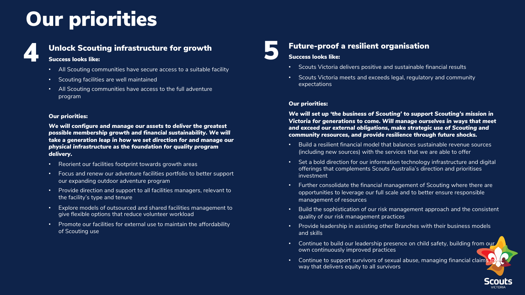## Our priorities



### Unlock Scouting infrastructure for growth

### Success looks like:

- All Scouting communities have secure access to a suitable facility
- Scouting facilities are well maintained
- All Scouting communities have access to the full adventure program

#### Our priorities:

*We will configure and manage our assets to deliver the greatest possible membership growth and financial sustainability. We will take a generation leap in how we set direction for and manage our physical infrastructure as the foundation for quality program delivery.*

- Reorient our facilities footprint towards growth areas
- Focus and renew our adventure facilities portfolio to better support our expanding outdoor adventure program
- Provide direction and support to all facilities managers, relevant to the facility's type and tenure
- Explore models of outsourced and shared facilities management to give flexible options that reduce volunteer workload
- Promote our facilities for external use to maintain the affordability of Scouting use

# **Future-proof a resilient organisation<br>Success looks like:<br>• Scouts Victoria delivers positive and sustainable fil**

### Success looks like:

- Scouts Victoria delivers positive and sustainable financial results
- Scouts Victoria meets and exceeds legal, regulatory and community expectations

### Our priorities:

*We will set up 'the business of Scouting' to support Scouting's mission in Victoria for generations to come. Will manage ourselves in ways that meet and exceed our external obligations, make strategic use of Scouting and community resources, and provide resilience through future shocks.*

- Build a resilient financial model that balances sustainable revenue sources (including new sources) with the services that we are able to offer
- Set a bold direction for our information technology infrastructure and digital offerings that complements Scouts Australia's direction and prioritises investment
- Further consolidate the financial management of Scouting where there are opportunities to leverage our full scale and to better ensure responsible management of resources
- Build the sophistication of our risk management approach and the consistent quality of our risk management practices
- Provide leadership in assisting other Branches with their business models and skills
- Continue to build our leadership presence on child safety, building from our own continuously improved practices
- Continue to support survivors of sexual abuse, managing financial claim; way that delivers equity to all survivors